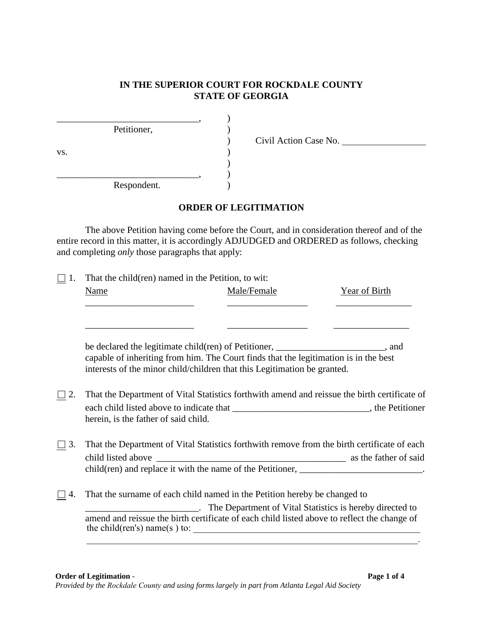## **IN THE SUPERIOR COURT FOR ROCKDALE COUNTY STATE OF GEORGIA**

|     | Petitioner, |  |
|-----|-------------|--|
|     |             |  |
| VS. |             |  |
|     |             |  |
|     |             |  |
|     | Respondent. |  |

) Civil Action Case No.

## **ORDER OF LEGITIMATION**

The above Petition having come before the Court, and in consideration thereof and of the entire record in this matter, it is accordingly ADJUDGED and ORDERED as follows, checking and completing *only* those paragraphs that apply:

| That the child(ren) named in the Petition, to wit:<br>-1. |             |                                                                                                                                                                                                                                                                                                                                                                                                                                                                                                                                                                                                                                                                                                                                                                                                                                                                                                                                     |  |  |
|-----------------------------------------------------------|-------------|-------------------------------------------------------------------------------------------------------------------------------------------------------------------------------------------------------------------------------------------------------------------------------------------------------------------------------------------------------------------------------------------------------------------------------------------------------------------------------------------------------------------------------------------------------------------------------------------------------------------------------------------------------------------------------------------------------------------------------------------------------------------------------------------------------------------------------------------------------------------------------------------------------------------------------------|--|--|
| <b>Name</b>                                               | Male/Female | <b>Year of Birth</b>                                                                                                                                                                                                                                                                                                                                                                                                                                                                                                                                                                                                                                                                                                                                                                                                                                                                                                                |  |  |
|                                                           |             |                                                                                                                                                                                                                                                                                                                                                                                                                                                                                                                                                                                                                                                                                                                                                                                                                                                                                                                                     |  |  |
|                                                           |             |                                                                                                                                                                                                                                                                                                                                                                                                                                                                                                                                                                                                                                                                                                                                                                                                                                                                                                                                     |  |  |
| herein, is the father of said child.                      |             |                                                                                                                                                                                                                                                                                                                                                                                                                                                                                                                                                                                                                                                                                                                                                                                                                                                                                                                                     |  |  |
|                                                           |             |                                                                                                                                                                                                                                                                                                                                                                                                                                                                                                                                                                                                                                                                                                                                                                                                                                                                                                                                     |  |  |
|                                                           |             |                                                                                                                                                                                                                                                                                                                                                                                                                                                                                                                                                                                                                                                                                                                                                                                                                                                                                                                                     |  |  |
|                                                           |             | be declared the legitimate child(ren) of Petitioner, _____________________, and<br>capable of inheriting from him. The Court finds that the legitimation is in the best<br>interests of the minor child/children that this Legitimation be granted.<br>That the Department of Vital Statistics forthwith amend and reissue the birth certificate of<br>each child listed above to indicate that _________________________________, the Petitioner<br>That the Department of Vital Statistics forthwith remove from the birth certificate of each<br>child(ren) and replace it with the name of the Petitioner, _____________________________.<br>That the surname of each child named in the Petition hereby be changed to<br>The Department of Vital Statistics is hereby directed to<br>amend and reissue the birth certificate of each child listed above to reflect the change of<br>the child(ren's) name(s) to: $\frac{1}{2}$ |  |  |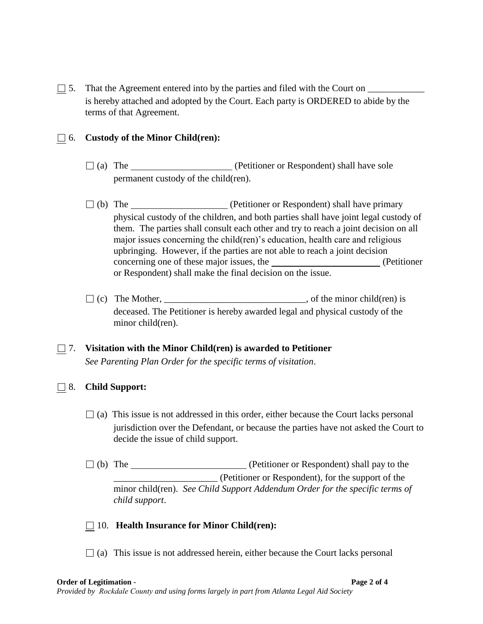$\Box$  5. That the Agreement entered into by the parties and filed with the Court on  $\Box$ is hereby attached and adopted by the Court. Each party is ORDERED to abide by the terms of that Agreement.

#### □ 6. **Custody of the Minor Child(ren):**

- □ (a) The (Petitioner or Respondent) shall have sole permanent custody of the child(ren).
- □ (b) The (Petitioner or Respondent) shall have primary physical custody of the children, and both parties shall have joint legal custody of them. The parties shall consult each other and try to reach a joint decision on all major issues concerning the child(ren)'s education, health care and religious upbringing. However, if the parties are not able to reach a joint decision concerning one of these major issues, the (Petitioner or Respondent) shall make the final decision on the issue.
- $\Box$  (c) The Mother, \_\_\_\_\_\_\_\_\_\_\_\_\_\_\_\_\_\_\_\_\_\_\_\_\_\_, of the minor child(ren) is deceased. The Petitioner is hereby awarded legal and physical custody of the minor child(ren).

## □ 7. **Visitation with the Minor Child(ren) is awarded to Petitioner** *See Parenting Plan Order for the specific terms of visitation*.

#### □ 8. **Child Support:**

- $\Box$  (a) This issue is not addressed in this order, either because the Court lacks personal jurisdiction over the Defendant, or because the parties have not asked the Court to decide the issue of child support.
- □ (b) The (Petitioner or Respondent) shall pay to the \_\_\_\_\_\_\_\_\_\_\_\_\_\_\_\_\_\_\_\_\_\_ (Petitioner or Respondent), for the support of the minor child(ren). *See Child Support Addendum Order for the specific terms of child support*.

#### □ 10. **Health Insurance for Minor Child(ren):**

 $\Box$  (a) This issue is not addressed herein, either because the Court lacks personal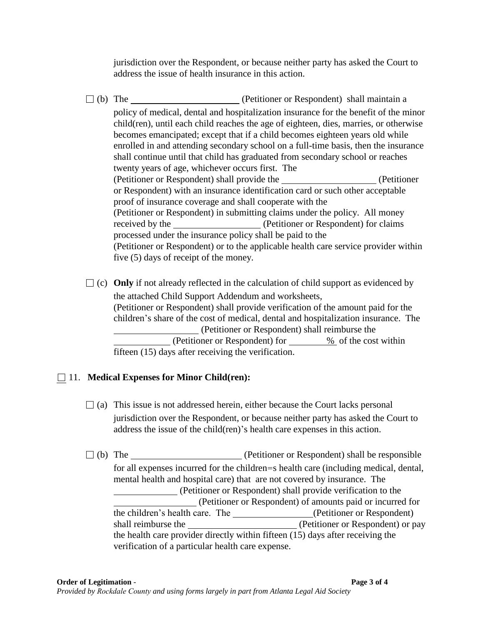jurisdiction over the Respondent, or because neither party has asked the Court to address the issue of health insurance in this action.

□ (b) The <u>contract of</u> (Petitioner or Respondent) shall maintain a policy of medical, dental and hospitalization insurance for the benefit of the minor child(ren), until each child reaches the age of eighteen, dies, marries, or otherwise becomes emancipated; except that if a child becomes eighteen years old while enrolled in and attending secondary school on a full-time basis, then the insurance shall continue until that child has graduated from secondary school or reaches twenty years of age, whichever occurs first. The (Petitioner or Respondent) shall provide the (Petitioner or Respondent) with an insurance identification card or such other acceptable proof of insurance coverage and shall cooperate with the (Petitioner or Respondent) in submitting claims under the policy. All money received by the (Petitioner or Respondent) for claims processed under the insurance policy shall be paid to the (Petitioner or Respondent) or to the applicable health care service provider within five (5) days of receipt of the money.

 $\Box$  (c) **Only** if not already reflected in the calculation of child support as evidenced by the attached Child Support Addendum and worksheets, (Petitioner or Respondent) shall provide verification of the amount paid for the children's share of the cost of medical, dental and hospitalization insurance. The (Petitioner or Respondent) shall reimburse the (Petitioner or Respondent) for <u>%</u> of the cost within fifteen (15) days after receiving the verification.

# □ 11. **Medical Expenses for Minor Child(ren):**

- $\Box$  (a) This issue is not addressed herein, either because the Court lacks personal jurisdiction over the Respondent, or because neither party has asked the Court to address the issue of the child(ren)'s health care expenses in this action.
- $\Box$  (b) The  $\Box$  (Petitioner or Respondent) shall be responsible for all expenses incurred for the children=s health care (including medical, dental, mental health and hospital care) that are not covered by insurance. The (Petitioner or Respondent) shall provide verification to the (Petitioner or Respondent) of amounts paid or incurred for the children's health care. The \_\_\_\_\_\_\_\_\_\_\_\_\_\_\_\_(Petitioner or Respondent) shall reimburse the (Petitioner or Respondent) or pay the health care provider directly within fifteen (15) days after receiving the verification of a particular health care expense.